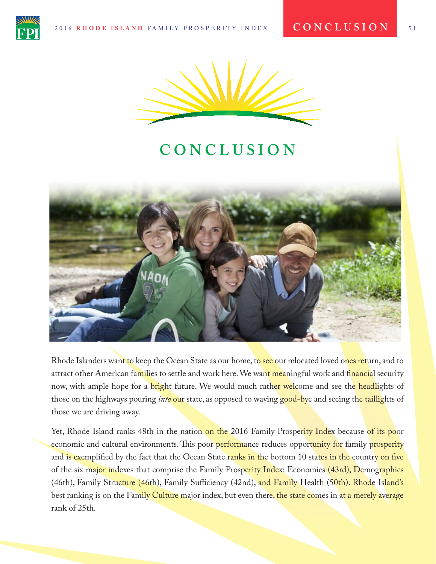



**CONCLUSION**



Rhode Islanders want to keep the Ocean State as our home, to see our relocated loved ones return, and to attract other American families to settle and work here. We want meaningful work and financial security now, with ample hope for a bright future. We would much rather welcome and see the headlights of those on the highways pouring *into* our state, as opposed to waving good-bye and seeing the taillights of those we are driving away.

Yet, Rhode Island ranks 48th in the nation on the 2016 Family Prosperity Index because of its poor economic and cultural environments. This poor performance reduces opportunity for family prosperity and is exemplified by the fact that the Ocean State ranks in the bottom 10 states in the country on five of the six major indexes that comprise the Family Prosperity Index: Economics (43rd), Demographics (46th), Family Structure (46th), Family Sufficiency (42nd), and Family Health (50th). Rhode Island's best ranking is on the Family Culture major index, but even there, the state comes in at a merely average rank of 25th.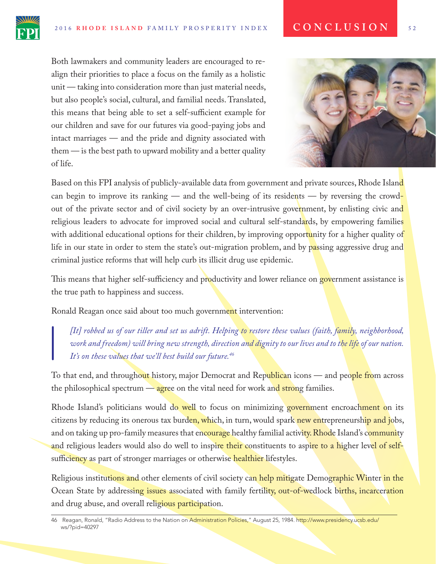Both lawmakers and community leaders are encouraged to realign their priorities to place a focus on the family as a holistic unit — taking into consideration more than just material needs, but also people's social, cultural, and familial needs. Translated, this means that being able to set a self-sufficient example for our children and save for our futures via good-paying jobs and intact marriages — and the pride and dignity associated with them — is the best path to upward mobility and a better quality of life.



Based on this FPI analysis of publicly-available data from government and private sources, Rhode Island can begin to improve its ranking — and the well-being of its residents — by reversing the crowdout of the private sector and of civil society by an over-intrusive government, by enlisting civic and religious leaders to advocate for improved social and cultural self-standards, by empowering families with additional educational options for their children, by improving opportunity for a higher quality of life in our state in order to stem the state's out-migration problem, and by passing aggressive drug and criminal justice reforms that will help curb its illicit drug use epidemic.

This means that higher self-sufficiency and productivity and lower reliance on government assistance is the true path to happiness and success.

Ronald Reagan once said about too much government intervention:

*[It] robbed us of our tiller and set us adrift. Helping to restore these values (faith, family, neighborhood, work and freedom) will bring new strength, direction and dignity to our lives and to the life of our nation. It's on these values that we'll best build our future.46*

To that end, and throughout history, major Democrat and Republican icons — and people from across the philosophical spectrum  $\frac{a}{a}$  are on the vital need for work and strong families.

Rhode Island's politicians would do well to focus on minimizing government encroachment on its citizens by reducing its onerous tax burden, which, in turn, would spark new entrepreneurship and jobs, and on taking up pro-family measures that encourage healthy familial activity. Rhode Island's community and religious leaders would also do well to inspire their constituents to aspire to a higher level of selfsufficiency as part of stronger marriages or otherwise healthier lifestyles.

Religious institutions and other elements of civil society can help mitigate Demographic Winter in the Ocean State by addressing issues associated with family fertility, out-of-wedlock births, incarceration and drug abuse, and overall religious participation.

<sup>46</sup> Reagan, Ronald, "Radio Address to the Nation on Administration Policies," August 25, 1984. http://www.presidency.ucsb.edu/ ws/?pid=40297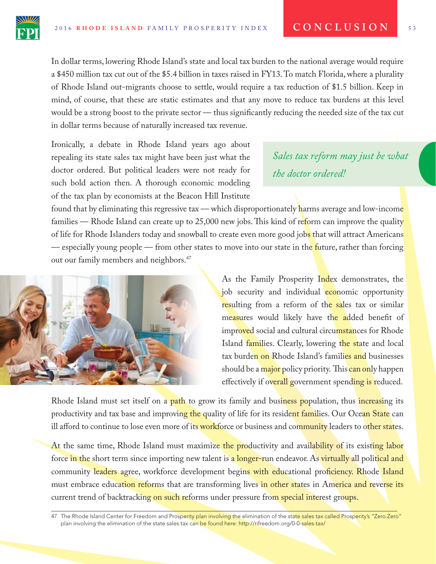In dollar terms, lowering Rhode Island's state and local tax burden to the national average would require a \$450 million tax cut out of the \$5.4 billion in taxes raised in FY13. To match Florida, where a plurality of Rhode Island out-migrants choose to settle, would require a tax reduction of \$1.5 billion. Keep in mind, of course, that these are static estimates and that any move to reduce tax burdens at this level would be a strong boost to the private sector — thus signifcantly reducing the needed size of the tax cut

in dollar terms because of naturally increased tax revenue.

Ironically, a debate in Rhode Island years ago about repealing its state sales tax might have been just what the doctor ordered. But political leaders were not ready for such bold action then. A thorough economic modeling of the tax plan by economists at the Beacon Hill Institute

*Sales tax reform may just be what the doctor ordered!*

found that by eliminating this regressive tax — which disproportionately harms average and low-income families — Rhode Island can create up to 25,000 new jobs. This kind of reform can improve the quality of life for Rhode Islanders today and snowball to create even more good jobs that will attract Americans — especially young people — from other states to move into our state in the future, rather than forcing out our family members and neighbors.<sup>47</sup>

> As the Family Prosperity Index demonstrates, the job security and individual **economic** opportunity resulting from a reform of the sales tax or similar measures would likely have the added benefit of improved social and cultural circumstances for Rhode Island families. Clearly, lowering the state and local tax burden on Rhode Island's families and businesses should be a major policy priority. This can only happen effectively if overall government spending is reduced.

Rhode Island must set itself on a path to grow its family and business population, thus increasing its productivity and tax base and improving the quality of life for its resident families. Our Ocean State can ill afford to continue to lose even more of its workforce or business and community leaders to other states.

At the same time, Rhode Island must maximize the productivity and availability of its existing labor force in the short term since importing new talent is a longer-run endeavor. As virtually all political and community leaders agree, workforce development begins with educational proficiency. Rhode Island must embrace education reforms that are transforming lives in other states in America and reverse its current trend of backtracking on such reforms under pressure from special interest groups.

47 The Rhode Island Center for Freedom and Prosperity plan involving the elimination of the state sales tax called Prosperity's "Zero.Zero" plan involving the elimination of the state sales tax can be found here: http://rifreedom.org/0-0-sales-tax/